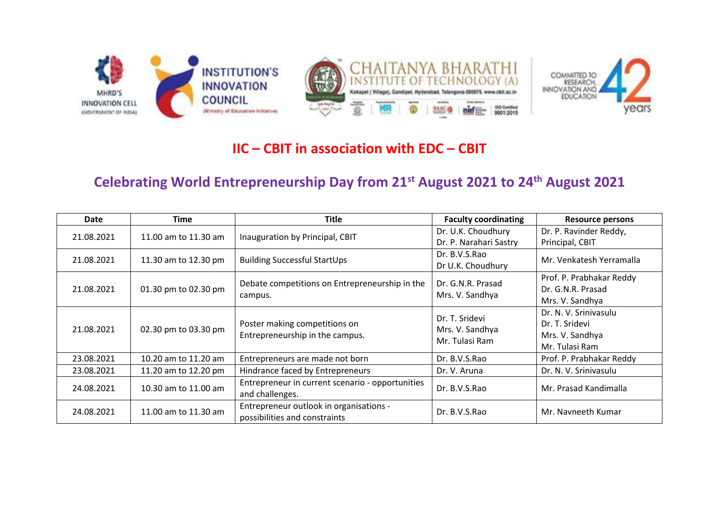

## **IIC – CBIT in association with EDC – CBIT**

## **Celebrating World Entrepreneurship Day from 21st August 2021 to 24th August 2021**

| Date       | Time                 | <b>Title</b>                                                             | <b>Faculty coordinating</b>                         | <b>Resource persons</b>  |
|------------|----------------------|--------------------------------------------------------------------------|-----------------------------------------------------|--------------------------|
| 21.08.2021 | 11.00 am to 11.30 am | Inauguration by Principal, CBIT                                          | Dr. U.K. Choudhury                                  | Dr. P. Ravinder Reddy,   |
|            |                      |                                                                          | Dr. P. Narahari Sastry                              | Principal, CBIT          |
| 21.08.2021 | 11.30 am to 12.30 pm | <b>Building Successful StartUps</b>                                      | Dr. B.V.S.Rao                                       | Mr. Venkatesh Yerramalla |
|            |                      |                                                                          | Dr U.K. Choudhury                                   |                          |
| 21.08.2021 | 01.30 pm to 02.30 pm | Debate competitions on Entrepreneurship in the<br>campus.                | Dr. G.N.R. Prasad<br>Mrs. V. Sandhya                | Prof. P. Prabhakar Reddy |
|            |                      |                                                                          |                                                     | Dr. G.N.R. Prasad        |
|            |                      |                                                                          |                                                     | Mrs. V. Sandhya          |
| 21.08.2021 | 02.30 pm to 03.30 pm | Poster making competitions on<br>Entrepreneurship in the campus.         | Dr. T. Sridevi<br>Mrs. V. Sandhya<br>Mr. Tulasi Ram | Dr. N. V. Srinivasulu    |
|            |                      |                                                                          |                                                     | Dr. T. Sridevi           |
|            |                      |                                                                          |                                                     | Mrs. V. Sandhya          |
|            |                      |                                                                          |                                                     | Mr. Tulasi Ram           |
| 23.08.2021 | 10.20 am to 11.20 am | Entrepreneurs are made not born                                          | Dr. B.V.S.Rao                                       | Prof. P. Prabhakar Reddy |
| 23.08.2021 | 11.20 am to 12.20 pm | Hindrance faced by Entrepreneurs                                         | Dr. V. Aruna                                        | Dr. N. V. Srinivasulu    |
| 24.08.2021 | 10.30 am to 11.00 am | Entrepreneur in current scenario - opportunities<br>and challenges.      | Dr. B.V.S.Rao                                       | Mr. Prasad Kandimalla    |
| 24.08.2021 | 11.00 am to 11.30 am | Entrepreneur outlook in organisations -<br>possibilities and constraints | Dr. B.V.S.Rao                                       | Mr. Navneeth Kumar       |